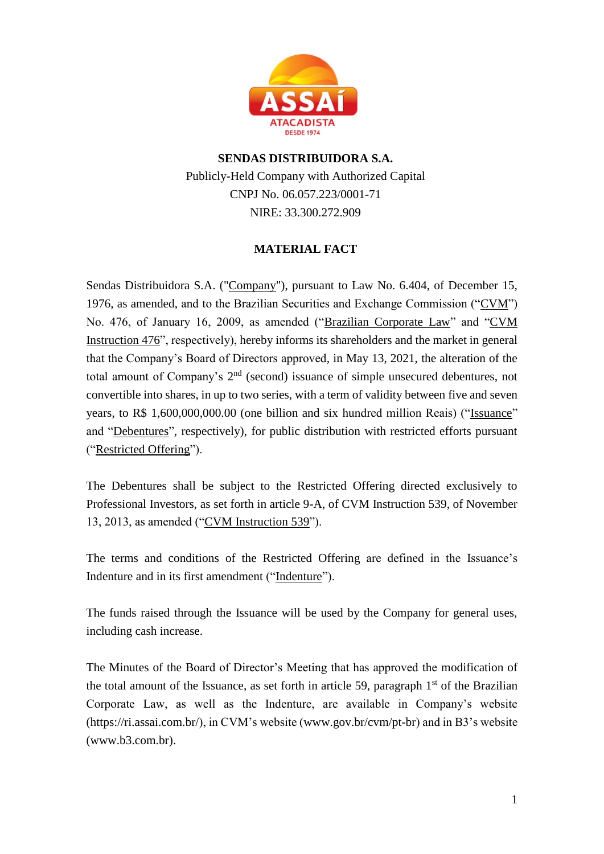

## **SENDAS DISTRIBUIDORA S.A.** Publicly-Held Company with Authorized Capital CNPJ No. 06.057.223/0001-71 NIRE: 33.300.272.909

## **MATERIAL FACT**

Sendas Distribuidora S.A. ("Company"), pursuant to Law No. 6.404, of December 15, 1976, as amended, and to the Brazilian Securities and Exchange Commission (" $CVM$ ") No. 476, of January 16, 2009, as amended ("Brazilian Corporate Law" and "CVM Instruction 476", respectively), hereby informs its shareholders and the market in general that the Company's Board of Directors approved, in May 13, 2021, the alteration of the total amount of Company's  $2<sup>nd</sup>$  (second) issuance of simple unsecured debentures, not convertible into shares, in up to two series, with a term of validity between five and seven years, to R\$ 1,600,000,000.00 (one billion and six hundred million Reais) ("Issuance" and "Debentures", respectively), for public distribution with restricted efforts pursuant ("Restricted Offering").

The Debentures shall be subject to the Restricted Offering directed exclusively to Professional Investors, as set forth in article 9-A, of CVM Instruction 539, of November 13, 2013, as amended ("CVM Instruction 539").

The terms and conditions of the Restricted Offering are defined in the Issuance's Indenture and in its first amendment ("Indenture").

The funds raised through the Issuance will be used by the Company for general uses, including cash increase.

The Minutes of the Board of Director's Meeting that has approved the modification of the total amount of the Issuance, as set forth in article 59, paragraph  $1<sup>st</sup>$  of the Brazilian Corporate Law, as well as the Indenture, are available in Company's website (https://ri.assai.com.br/), in CVM's website (www.gov.br/cvm/pt-br) and in B3's website (www.b3.com.br).